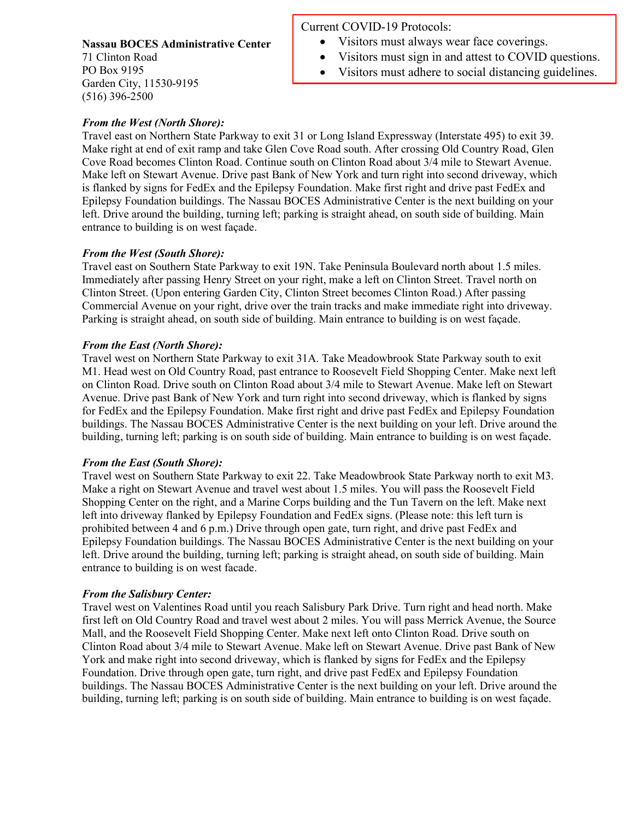**Nassau BOCES Administrative Center**

71 Clinton Road PO Box 9195 Garden City, 11530-9195 (516) 396-2500

### Current COVID-19 Protocols:

- Visitors must always wear face coverings.
- Visitors must sign in and attest to COVID questions.
- Visitors must adhere to social distancing guidelines.

# *From the West (North Shore):*

Travel east on Northern State Parkway to exit 31 or Long Island Expressway (Interstate 495) to exit 39. Make right at end of exit ramp and take Glen Cove Road south. After crossing Old Country Road, Glen Cove Road becomes Clinton Road. Continue south on Clinton Road about 3/4 mile to Stewart Avenue. Make left on Stewart Avenue. Drive past Bank of New York and turn right into second driveway, which is flanked by signs for FedEx and the Epilepsy Foundation. Make first right and drive past FedEx and Epilepsy Foundation buildings. The Nassau BOCES Administrative Center is the next building on your left. Drive around the building, turning left; parking is straight ahead, on south side of building. Main entrance to building is on west façade.

## *From the West (South Shore):*

Travel east on Southern State Parkway to exit 19N. Take Peninsula Boulevard north about 1.5 miles. Immediately after passing Henry Street on your right, make a left on Clinton Street. Travel north on Clinton Street. (Upon entering Garden City, Clinton Street becomes Clinton Road.) After passing Commercial Avenue on your right, drive over the train tracks and make immediate right into driveway. Parking is straight ahead, on south side of building. Main entrance to building is on west façade.

## *From the East (North Shore):*

Travel west on Northern State Parkway to exit 31A. Take Meadowbrook State Parkway south to exit M1. Head west on Old Country Road, past entrance to Roosevelt Field Shopping Center. Make next left on Clinton Road. Drive south on Clinton Road about 3/4 mile to Stewart Avenue. Make left on Stewart Avenue. Drive past Bank of New York and turn right into second driveway, which is flanked by signs for FedEx and the Epilepsy Foundation. Make first right and drive past FedEx and Epilepsy Foundation buildings. The Nassau BOCES Administrative Center is the next building on your left. Drive around the building, turning left; parking is on south side of building. Main entrance to building is on west façade.

## *From the East (South Shore):*

Travel west on Southern State Parkway to exit 22. Take Meadowbrook State Parkway north to exit M3. Make a right on Stewart Avenue and travel west about 1.5 miles. You will pass the Roosevelt Field Shopping Center on the right, and a Marine Corps building and the Tun Tavern on the left. Make next left into driveway flanked by Epilepsy Foundation and FedEx signs. (Please note: this left turn is prohibited between 4 and 6 p.m.) Drive through open gate, turn right, and drive past FedEx and Epilepsy Foundation buildings. The Nassau BOCES Administrative Center is the next building on your left. Drive around the building, turning left; parking is straight ahead, on south side of building. Main entrance to building is on west facade.

## *From the Salisbury Center:*

Travel west on Valentines Road until you reach Salisbury Park Drive. Turn right and head north. Make first left on Old Country Road and travel west about 2 miles. You will pass Merrick Avenue, the Source Mall, and the Roosevelt Field Shopping Center. Make next left onto Clinton Road. Drive south on Clinton Road about 3/4 mile to Stewart Avenue. Make left on Stewart Avenue. Drive past Bank of New York and make right into second driveway, which is flanked by signs for FedEx and the Epilepsy Foundation. Drive through open gate, turn right, and drive past FedEx and Epilepsy Foundation buildings. The Nassau BOCES Administrative Center is the next building on your left. Drive around the building, turning left; parking is on south side of building. Main entrance to building is on west façade.